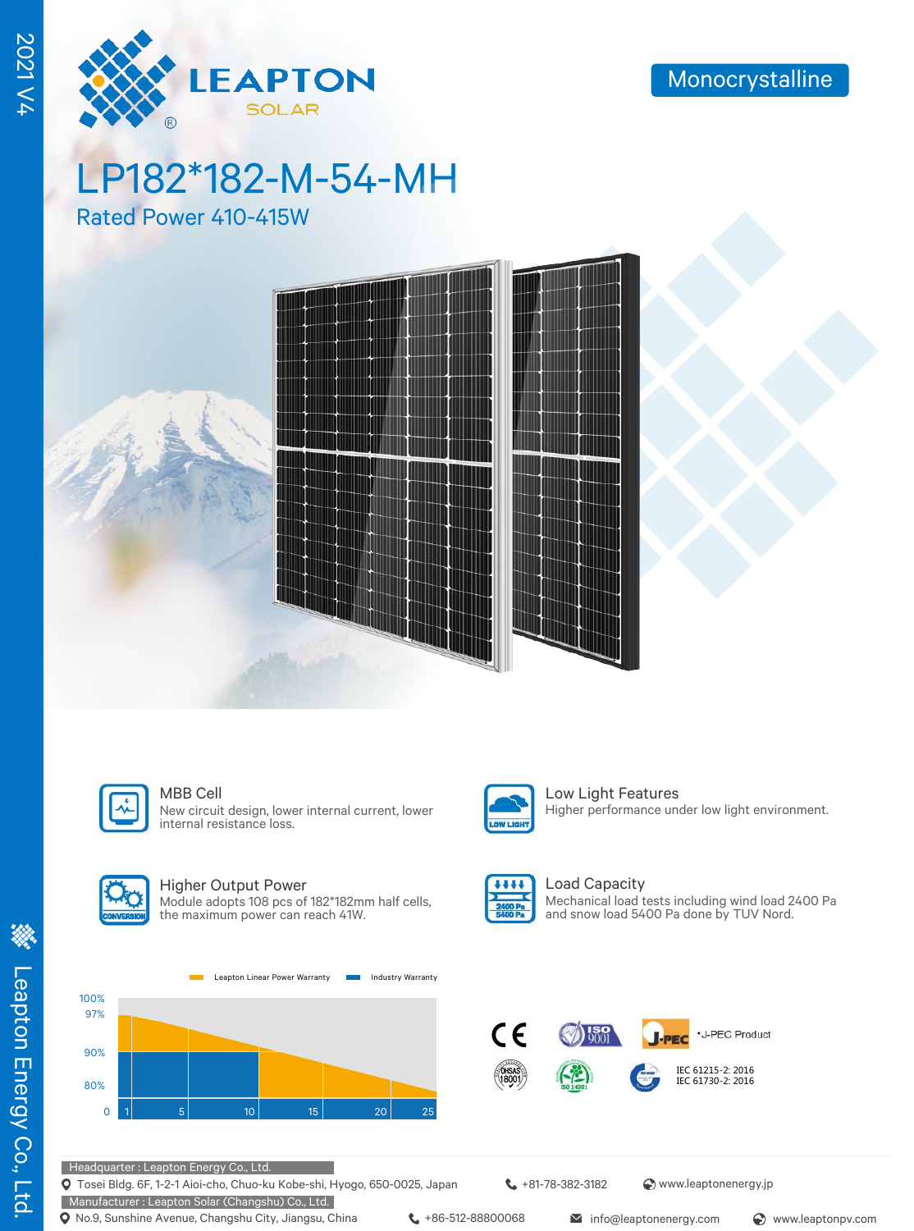

2021 V4

# LP182\*182-M-54-MH

Rated Power 410-415W





New circuit design, lower internal current, lower internal resistance loss.



#### Higher Output Power

Module adopts 108 pcs of 182\*182mm half cells, the maximum power can reach 41W.





MBB Cell **Low Light Features** Higher performance under low light environment.



Load Capacity Mechanical load tests including wind load 2400 Pa and snow load 5400 Pa done by TUV Nord.



Headquarter : Leapton Energy Co., Ltd.

Tosei Bldg. 6F, 1-2-1 Aioi-cho, Chuo-ku Kobe-shi, Hyogo, 650-0025, Japan

Manufacturer : Leapton Solar (Changshu) Co., Ltd. **Q** No.9, Sunshine Avenue, Changshu City, Jiangsu, China  $\leftarrow$  +86-512-88800068 info@leaptonenergy.com  $\odot$  www.leaptonpv.com

+81-78-382-3182 www.leaptonenergy.jp